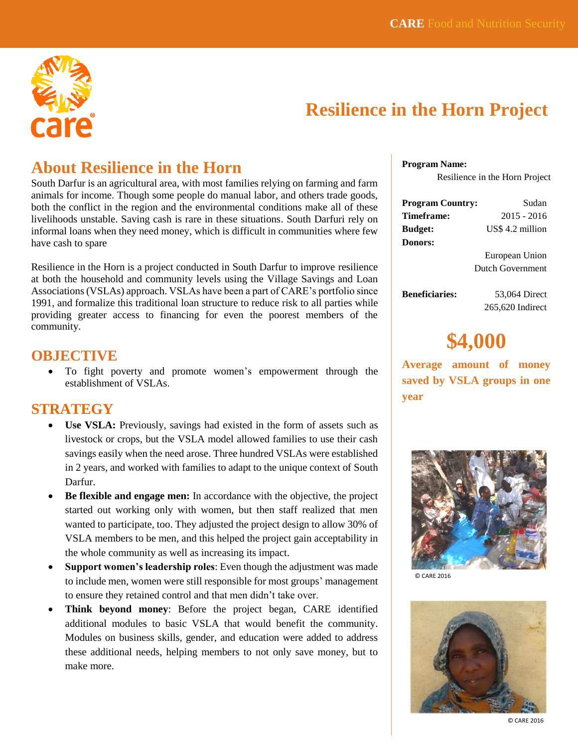

# **Resilience in the Horn Project**

## **About Resilience in the Horn**

South Darfur is an agricultural area, with most families relying on farming and farm animals for income. Though some people do manual labor, and others trade goods, both the conflict in the region and the environmental conditions make all of these livelihoods unstable. Saving cash is rare in these situations. South Darfuri rely on informal loans when they need money, which is difficult in communities where few have cash to spare

Resilience in the Horn is a project conducted in South Darfur to improve resilience at both the household and community levels using the Village Savings and Loan Associations (VSLAs) approach. VSLAs have been a part of CARE's portfolio since 1991, and formalize this traditional loan structure to reduce risk to all parties while providing greater access to financing for even the poorest members of the community.

### **OBJECTIVE**

 To fight poverty and promote women's empowerment through the establishment of VSLAs.

### **STRATEGY**

- Use VSLA: Previously, savings had existed in the form of assets such as livestock or crops, but the VSLA model allowed families to use their cash savings easily when the need arose. Three hundred VSLAs were established in 2 years, and worked with families to adapt to the unique context of South Darfur.
- **Be flexible and engage men:** In accordance with the objective, the project started out working only with women, but then staff realized that men wanted to participate, too. They adjusted the project design to allow 30% of VSLA members to be men, and this helped the project gain acceptability in the whole community as well as increasing its impact.
- **Support women's leadership roles**: Even though the adjustment was made to include men, women were still responsible for most groups' management to ensure they retained control and that men didn't take over.
- **Think beyond money**: Before the project began, CARE identified additional modules to basic VSLA that would benefit the community. Modules on business skills, gender, and education were added to address these additional needs, helping members to not only save money, but to make more.

**Program Name:**

Resilience in the Horn Project

| <b>Program Country:</b> | Sudan            |
|-------------------------|------------------|
| Timeframe:              | $2015 - 2016$    |
| <b>Budget:</b>          | US\$ 4.2 million |
| Donors:                 |                  |

 European Union Dutch Government

**Beneficiaries:** 53,064 Direct

265,620 Indirect

# **\$4,000**

**Average amount of money saved by VSLA groups in one year**



© CARE 2016



© CARE 2016